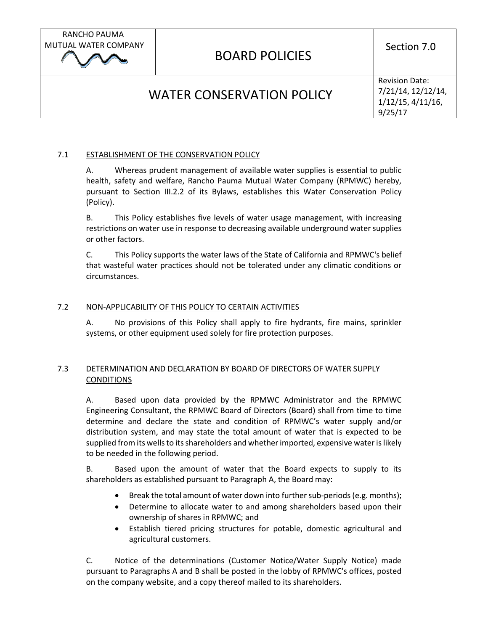RANCHO PAUMA MUTUAL WATER COMPANY

# BOARD POLICIES

Section 7.0

# WATER CONSERVATION POLICY

Revision Date: 7/21/14, 12/12/14, 1/12/15, 4/11/16, 9/25/17

## 7.1 ESTABLISHMENT OF THE CONSERVATION POLICY

A. Whereas prudent management of available water supplies is essential to public health, safety and welfare, Rancho Pauma Mutual Water Company (RPMWC) hereby, pursuant to Section III.2.2 of its Bylaws, establishes this Water Conservation Policy (Policy).

B. This Policy establishes five levels of water usage management, with increasing restrictions on water use in response to decreasing available underground water supplies or other factors.

C. This Policy supports the water laws of the State of California and RPMWC's belief that wasteful water practices should not be tolerated under any climatic conditions or circumstances.

### 7.2 NON-APPLICABILITY OF THIS POLICY TO CERTAIN ACTIVITIES

A. No provisions of this Policy shall apply to fire hydrants, fire mains, sprinkler systems, or other equipment used solely for fire protection purposes.

## 7.3 DETERMINATION AND DECLARATION BY BOARD OF DIRECTORS OF WATER SUPPLY **CONDITIONS**

A. Based upon data provided by the RPMWC Administrator and the RPMWC Engineering Consultant, the RPMWC Board of Directors (Board) shall from time to time determine and declare the state and condition of RPMWC's water supply and/or distribution system, and may state the total amount of water that is expected to be supplied from its wells to its shareholders and whether imported, expensive water is likely to be needed in the following period.

B. Based upon the amount of water that the Board expects to supply to its shareholders as established pursuant to Paragraph A, the Board may:

- Break the total amount of water down into further sub-periods (e.g. months);
- Determine to allocate water to and among shareholders based upon their ownership of shares in RPMWC; and
- Establish tiered pricing structures for potable, domestic agricultural and agricultural customers.

C. Notice of the determinations (Customer Notice/Water Supply Notice) made pursuant to Paragraphs A and B shall be posted in the lobby of RPMWC's offices, posted on the company website, and a copy thereof mailed to its shareholders.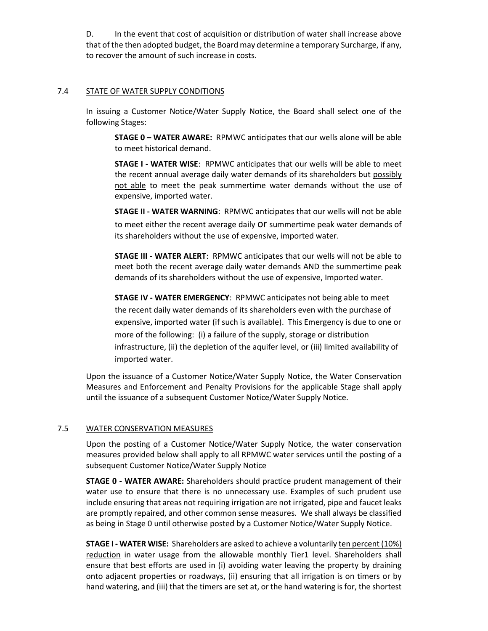D. In the event that cost of acquisition or distribution of water shall increase above that of the then adopted budget, the Board may determine a temporary Surcharge, if any, to recover the amount of such increase in costs.

#### 7.4 STATE OF WATER SUPPLY CONDITIONS

In issuing a Customer Notice/Water Supply Notice, the Board shall select one of the following Stages:

**STAGE 0 – WATER AWARE:** RPMWC anticipates that our wells alone will be able to meet historical demand.

**STAGE I - WATER WISE**: RPMWC anticipates that our wells will be able to meet the recent annual average daily water demands of its shareholders but possibly not able to meet the peak summertime water demands without the use of expensive, imported water.

**STAGE II - WATER WARNING**: RPMWC anticipates that our wells will not be able to meet either the recent average daily Or summertime peak water demands of its shareholders without the use of expensive, imported water.

**STAGE III - WATER ALERT**: RPMWC anticipates that our wells will not be able to meet both the recent average daily water demands AND the summertime peak demands of its shareholders without the use of expensive, Imported water.

**STAGE IV - WATER EMERGENCY**: RPMWC anticipates not being able to meet the recent daily water demands of its shareholders even with the purchase of expensive, imported water (if such is available). This Emergency is due to one or more of the following: (i) a failure of the supply, storage or distribution infrastructure, (ii) the depletion of the aquifer level, or (iii) limited availability of imported water.

Upon the issuance of a Customer Notice/Water Supply Notice, the Water Conservation Measures and Enforcement and Penalty Provisions for the applicable Stage shall apply until the issuance of a subsequent Customer Notice/Water Supply Notice.

#### 7.5 WATER CONSERVATION MEASURES

Upon the posting of a Customer Notice/Water Supply Notice, the water conservation measures provided below shall apply to all RPMWC water services until the posting of a subsequent Customer Notice/Water Supply Notice

**STAGE 0 - WATER AWARE:** Shareholders should practice prudent management of their water use to ensure that there is no unnecessary use. Examples of such prudent use include ensuring that areas not requiring irrigation are not irrigated, pipe and faucet leaks are promptly repaired, and other common sense measures. We shall always be classified as being in Stage 0 until otherwise posted by a Customer Notice/Water Supply Notice.

**STAGE I - WATER WISE:** Shareholders are asked to achieve a voluntarily ten percent (10%) reduction in water usage from the allowable monthly Tier1 level. Shareholders shall ensure that best efforts are used in (i) avoiding water leaving the property by draining onto adjacent properties or roadways, (ii) ensuring that all irrigation is on timers or by hand watering, and (iii) that the timers are set at, or the hand watering is for, the shortest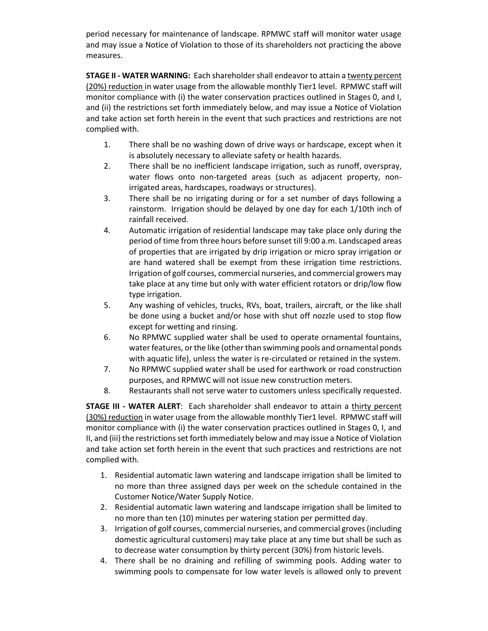period necessary for maintenance of landscape. RPMWC staff will monitor water usage and may issue a Notice of Violation to those of its shareholders not practicing the above measures.

**STAGE II - WATER WARNING:** Each shareholder shall endeavor to attain a twenty percent (20%) reduction in water usage from the allowable monthly Tier1 level. RPMWC staff will monitor compliance with (i) the water conservation practices outlined in Stages 0, and I, and (ii) the restrictions set forth immediately below, and may issue a Notice of Violation and take action set forth herein in the event that such practices and restrictions are not complied with.

- 1. There shall be no washing down of drive ways or hardscape, except when it is absolutely necessary to alleviate safety or health hazards.
- 2. There shall be no inefficient landscape irrigation, such as runoff, overspray, water flows onto non-targeted areas (such as adjacent property, nonirrigated areas, hardscapes, roadways or structures).
- 3. There shall be no irrigating during or for a set number of days following a rainstorm. Irrigation should be delayed by one day for each 1/10th inch of rainfall received.
- 4. Automatic irrigation of residential landscape may take place only during the period of time from three hours before sunset till 9:00 a.m. Landscaped areas of properties that are irrigated by drip irrigation or micro spray irrigation or are hand watered shall be exempt from these irrigation time restrictions. Irrigation of golf courses, commercial nurseries, and commercial growers may take place at any time but only with water efficient rotators or drip/low flow type irrigation.
- 5. Any washing of vehicles, trucks, RVs, boat, trailers, aircraft, or the like shall be done using a bucket and/or hose with shut off nozzle used to stop flow except for wetting and rinsing.
- 6. No RPMWC supplied water shall be used to operate ornamental fountains, water features, or the like (other than swimming pools and ornamental ponds with aquatic life), unless the water is re-circulated or retained in the system.
- 7. No RPMWC supplied water shall be used for earthwork or road construction purposes, and RPMWC will not issue new construction meters.
- 8. Restaurants shall not serve water to customers unless specifically requested.

**STAGE III - WATER ALERT**: Each shareholder shall endeavor to attain a thirty percent (30%) reduction in water usage from the allowable monthly Tier1 level. RPMWC staff will monitor compliance with (i) the water conservation practices outlined in Stages 0, I, and II, and (iii) the restrictions set forth immediately below and may issue a Notice of Violation and take action set forth herein in the event that such practices and restrictions are not complied with.

- 1. Residential automatic lawn watering and landscape irrigation shall be limited to no more than three assigned days per week on the schedule contained in the Customer Notice/Water Supply Notice.
- 2. Residential automatic lawn watering and landscape irrigation shall be limited to no more than ten (10) minutes per watering station per permitted day.
- 3. Irrigation of golf courses, commercial nurseries, and commercial groves (including domestic agricultural customers) may take place at any time but shall be such as to decrease water consumption by thirty percent (30%) from historic levels.
- 4. There shall be no draining and refilling of swimming pools. Adding water to swimming pools to compensate for low water levels is allowed only to prevent